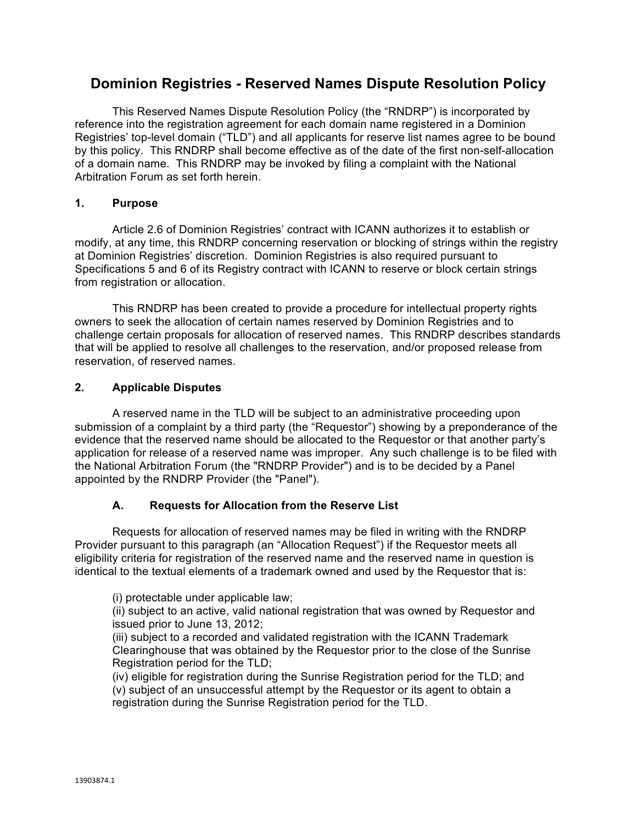# **Dominion Registries - Reserved Names Dispute Resolution Policy**

This Reserved Names Dispute Resolution Policy (the "RNDRP") is incorporated by reference into the registration agreement for each domain name registered in a Dominion Registries' top-level domain ("TLD") and all applicants for reserve list names agree to be bound by this policy. This RNDRP shall become effective as of the date of the first non-self-allocation of a domain name. This RNDRP may be invoked by filing a complaint with the National Arbitration Forum as set forth herein.

### **1. Purpose**

Article 2.6 of Dominion Registries' contract with ICANN authorizes it to establish or modify, at any time, this RNDRP concerning reservation or blocking of strings within the registry at Dominion Registries' discretion. Dominion Registries is also required pursuant to Specifications 5 and 6 of its Registry contract with ICANN to reserve or block certain strings from registration or allocation.

This RNDRP has been created to provide a procedure for intellectual property rights owners to seek the allocation of certain names reserved by Dominion Registries and to challenge certain proposals for allocation of reserved names. This RNDRP describes standards that will be applied to resolve all challenges to the reservation, and/or proposed release from reservation, of reserved names.

### **2. Applicable Disputes**

A reserved name in the TLD will be subject to an administrative proceeding upon submission of a complaint by a third party (the "Requestor") showing by a preponderance of the evidence that the reserved name should be allocated to the Requestor or that another party's application for release of a reserved name was improper. Any such challenge is to be filed with the National Arbitration Forum (the "RNDRP Provider") and is to be decided by a Panel appointed by the RNDRP Provider (the "Panel").

### **A. Requests for Allocation from the Reserve List**

Requests for allocation of reserved names may be filed in writing with the RNDRP Provider pursuant to this paragraph (an "Allocation Request") if the Requestor meets all eligibility criteria for registration of the reserved name and the reserved name in question is identical to the textual elements of a trademark owned and used by the Requestor that is:

(i) protectable under applicable law;

(ii) subject to an active, valid national registration that was owned by Requestor and issued prior to June 13, 2012;

(iii) subject to a recorded and validated registration with the ICANN Trademark Clearinghouse that was obtained by the Requestor prior to the close of the Sunrise Registration period for the TLD;

(iv) eligible for registration during the Sunrise Registration period for the TLD; and (v) subject of an unsuccessful attempt by the Requestor or its agent to obtain a registration during the Sunrise Registration period for the TLD.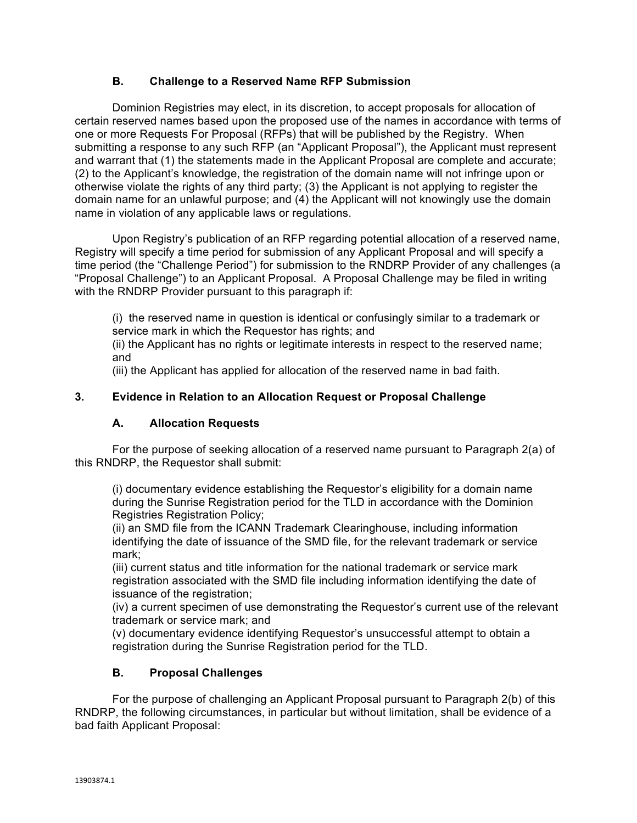### **B. Challenge to a Reserved Name RFP Submission**

Dominion Registries may elect, in its discretion, to accept proposals for allocation of certain reserved names based upon the proposed use of the names in accordance with terms of one or more Requests For Proposal (RFPs) that will be published by the Registry. When submitting a response to any such RFP (an "Applicant Proposal"), the Applicant must represent and warrant that (1) the statements made in the Applicant Proposal are complete and accurate; (2) to the Applicant's knowledge, the registration of the domain name will not infringe upon or otherwise violate the rights of any third party; (3) the Applicant is not applying to register the domain name for an unlawful purpose; and (4) the Applicant will not knowingly use the domain name in violation of any applicable laws or regulations.

Upon Registry's publication of an RFP regarding potential allocation of a reserved name, Registry will specify a time period for submission of any Applicant Proposal and will specify a time period (the "Challenge Period") for submission to the RNDRP Provider of any challenges (a "Proposal Challenge") to an Applicant Proposal. A Proposal Challenge may be filed in writing with the RNDRP Provider pursuant to this paragraph if:

(i) the reserved name in question is identical or confusingly similar to a trademark or service mark in which the Requestor has rights; and

(ii) the Applicant has no rights or legitimate interests in respect to the reserved name; and

(iii) the Applicant has applied for allocation of the reserved name in bad faith.

### **3. Evidence in Relation to an Allocation Request or Proposal Challenge**

### **A. Allocation Requests**

For the purpose of seeking allocation of a reserved name pursuant to Paragraph 2(a) of this RNDRP, the Requestor shall submit:

(i) documentary evidence establishing the Requestor's eligibility for a domain name during the Sunrise Registration period for the TLD in accordance with the Dominion Registries Registration Policy;

(ii) an SMD file from the ICANN Trademark Clearinghouse, including information identifying the date of issuance of the SMD file, for the relevant trademark or service mark;

(iii) current status and title information for the national trademark or service mark registration associated with the SMD file including information identifying the date of issuance of the registration;

(iv) a current specimen of use demonstrating the Requestor's current use of the relevant trademark or service mark; and

(v) documentary evidence identifying Requestor's unsuccessful attempt to obtain a registration during the Sunrise Registration period for the TLD.

### **B. Proposal Challenges**

For the purpose of challenging an Applicant Proposal pursuant to Paragraph 2(b) of this RNDRP, the following circumstances, in particular but without limitation, shall be evidence of a bad faith Applicant Proposal: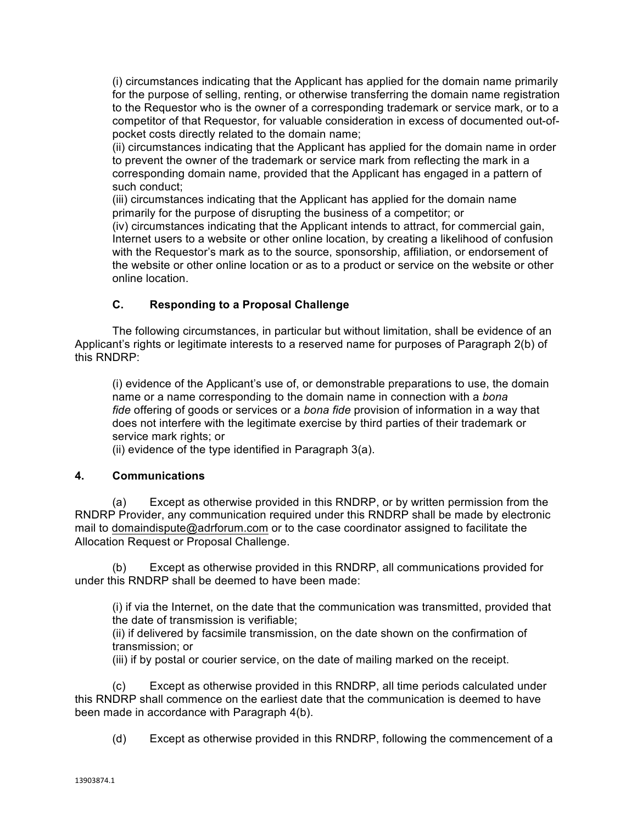(i) circumstances indicating that the Applicant has applied for the domain name primarily for the purpose of selling, renting, or otherwise transferring the domain name registration to the Requestor who is the owner of a corresponding trademark or service mark, or to a competitor of that Requestor, for valuable consideration in excess of documented out-ofpocket costs directly related to the domain name;

(ii) circumstances indicating that the Applicant has applied for the domain name in order to prevent the owner of the trademark or service mark from reflecting the mark in a corresponding domain name, provided that the Applicant has engaged in a pattern of such conduct;

(iii) circumstances indicating that the Applicant has applied for the domain name primarily for the purpose of disrupting the business of a competitor; or

(iv) circumstances indicating that the Applicant intends to attract, for commercial gain, Internet users to a website or other online location, by creating a likelihood of confusion with the Requestor's mark as to the source, sponsorship, affiliation, or endorsement of the website or other online location or as to a product or service on the website or other online location.

## **C. Responding to a Proposal Challenge**

The following circumstances, in particular but without limitation, shall be evidence of an Applicant's rights or legitimate interests to a reserved name for purposes of Paragraph 2(b) of this RNDRP:

(i) evidence of the Applicant's use of, or demonstrable preparations to use, the domain name or a name corresponding to the domain name in connection with a *bona fide* offering of goods or services or a *bona fide* provision of information in a way that does not interfere with the legitimate exercise by third parties of their trademark or service mark rights; or

(ii) evidence of the type identified in Paragraph 3(a).

### **4. Communications**

(a) Except as otherwise provided in this RNDRP, or by written permission from the RNDRP Provider, any communication required under this RNDRP shall be made by electronic mail to domaindispute@adrforum.com or to the case coordinator assigned to facilitate the Allocation Request or Proposal Challenge.

(b) Except as otherwise provided in this RNDRP, all communications provided for under this RNDRP shall be deemed to have been made:

(i) if via the Internet, on the date that the communication was transmitted, provided that the date of transmission is verifiable;

(ii) if delivered by facsimile transmission, on the date shown on the confirmation of transmission; or

(iii) if by postal or courier service, on the date of mailing marked on the receipt.

(c) Except as otherwise provided in this RNDRP, all time periods calculated under this RNDRP shall commence on the earliest date that the communication is deemed to have been made in accordance with Paragraph 4(b).

(d) Except as otherwise provided in this RNDRP, following the commencement of a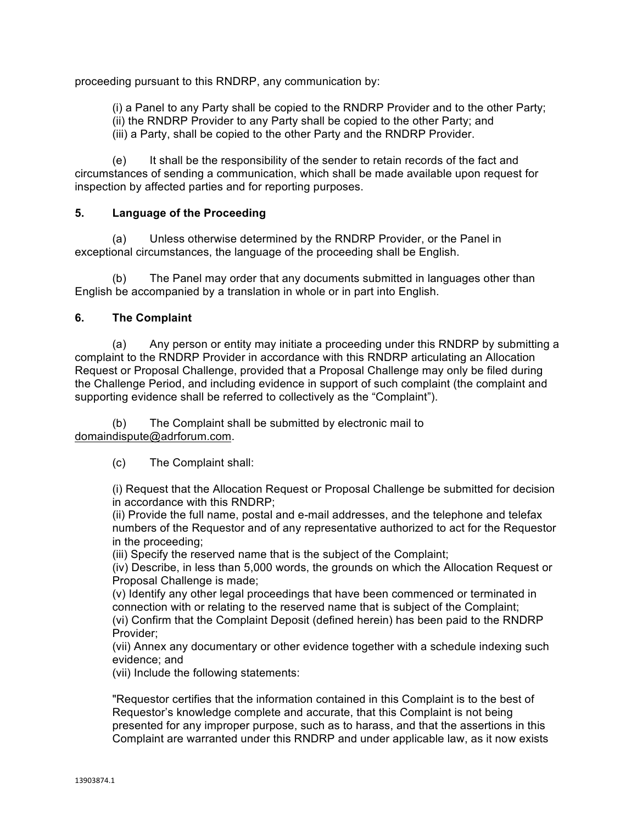proceeding pursuant to this RNDRP, any communication by:

(i) a Panel to any Party shall be copied to the RNDRP Provider and to the other Party; (ii) the RNDRP Provider to any Party shall be copied to the other Party; and (iii) a Party, shall be copied to the other Party and the RNDRP Provider.

(e) It shall be the responsibility of the sender to retain records of the fact and circumstances of sending a communication, which shall be made available upon request for inspection by affected parties and for reporting purposes.

### **5. Language of the Proceeding**

(a) Unless otherwise determined by the RNDRP Provider, or the Panel in exceptional circumstances, the language of the proceeding shall be English.

(b) The Panel may order that any documents submitted in languages other than English be accompanied by a translation in whole or in part into English.

### **6. The Complaint**

(a) Any person or entity may initiate a proceeding under this RNDRP by submitting a complaint to the RNDRP Provider in accordance with this RNDRP articulating an Allocation Request or Proposal Challenge, provided that a Proposal Challenge may only be filed during the Challenge Period, and including evidence in support of such complaint (the complaint and supporting evidence shall be referred to collectively as the "Complaint").

(b) The Complaint shall be submitted by electronic mail to domaindispute@adrforum.com.

(c) The Complaint shall:

(i) Request that the Allocation Request or Proposal Challenge be submitted for decision in accordance with this RNDRP;

(ii) Provide the full name, postal and e-mail addresses, and the telephone and telefax numbers of the Requestor and of any representative authorized to act for the Requestor in the proceeding;

(iii) Specify the reserved name that is the subject of the Complaint;

(iv) Describe, in less than 5,000 words, the grounds on which the Allocation Request or Proposal Challenge is made;

(v) Identify any other legal proceedings that have been commenced or terminated in connection with or relating to the reserved name that is subject of the Complaint; (vi) Confirm that the Complaint Deposit (defined herein) has been paid to the RNDRP Provider;

(vii) Annex any documentary or other evidence together with a schedule indexing such evidence; and

(vii) Include the following statements:

"Requestor certifies that the information contained in this Complaint is to the best of Requestor's knowledge complete and accurate, that this Complaint is not being presented for any improper purpose, such as to harass, and that the assertions in this Complaint are warranted under this RNDRP and under applicable law, as it now exists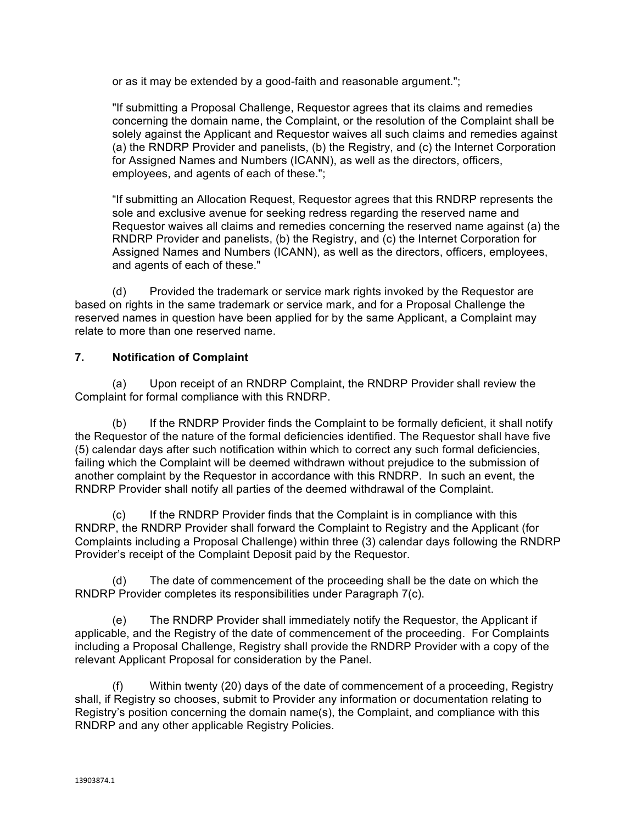or as it may be extended by a good-faith and reasonable argument.";

"If submitting a Proposal Challenge, Requestor agrees that its claims and remedies concerning the domain name, the Complaint, or the resolution of the Complaint shall be solely against the Applicant and Requestor waives all such claims and remedies against (a) the RNDRP Provider and panelists, (b) the Registry, and (c) the Internet Corporation for Assigned Names and Numbers (ICANN), as well as the directors, officers, employees, and agents of each of these.";

"If submitting an Allocation Request, Requestor agrees that this RNDRP represents the sole and exclusive avenue for seeking redress regarding the reserved name and Requestor waives all claims and remedies concerning the reserved name against (a) the RNDRP Provider and panelists, (b) the Registry, and (c) the Internet Corporation for Assigned Names and Numbers (ICANN), as well as the directors, officers, employees, and agents of each of these."

(d) Provided the trademark or service mark rights invoked by the Requestor are based on rights in the same trademark or service mark, and for a Proposal Challenge the reserved names in question have been applied for by the same Applicant, a Complaint may relate to more than one reserved name.

### **7. Notification of Complaint**

(a) Upon receipt of an RNDRP Complaint, the RNDRP Provider shall review the Complaint for formal compliance with this RNDRP.

(b) If the RNDRP Provider finds the Complaint to be formally deficient, it shall notify the Requestor of the nature of the formal deficiencies identified. The Requestor shall have five (5) calendar days after such notification within which to correct any such formal deficiencies, failing which the Complaint will be deemed withdrawn without prejudice to the submission of another complaint by the Requestor in accordance with this RNDRP. In such an event, the RNDRP Provider shall notify all parties of the deemed withdrawal of the Complaint.

(c) If the RNDRP Provider finds that the Complaint is in compliance with this RNDRP, the RNDRP Provider shall forward the Complaint to Registry and the Applicant (for Complaints including a Proposal Challenge) within three (3) calendar days following the RNDRP Provider's receipt of the Complaint Deposit paid by the Requestor.

(d) The date of commencement of the proceeding shall be the date on which the RNDRP Provider completes its responsibilities under Paragraph 7(c).

(e) The RNDRP Provider shall immediately notify the Requestor, the Applicant if applicable, and the Registry of the date of commencement of the proceeding. For Complaints including a Proposal Challenge, Registry shall provide the RNDRP Provider with a copy of the relevant Applicant Proposal for consideration by the Panel.

(f) Within twenty (20) days of the date of commencement of a proceeding, Registry shall, if Registry so chooses, submit to Provider any information or documentation relating to Registry's position concerning the domain name(s), the Complaint, and compliance with this RNDRP and any other applicable Registry Policies.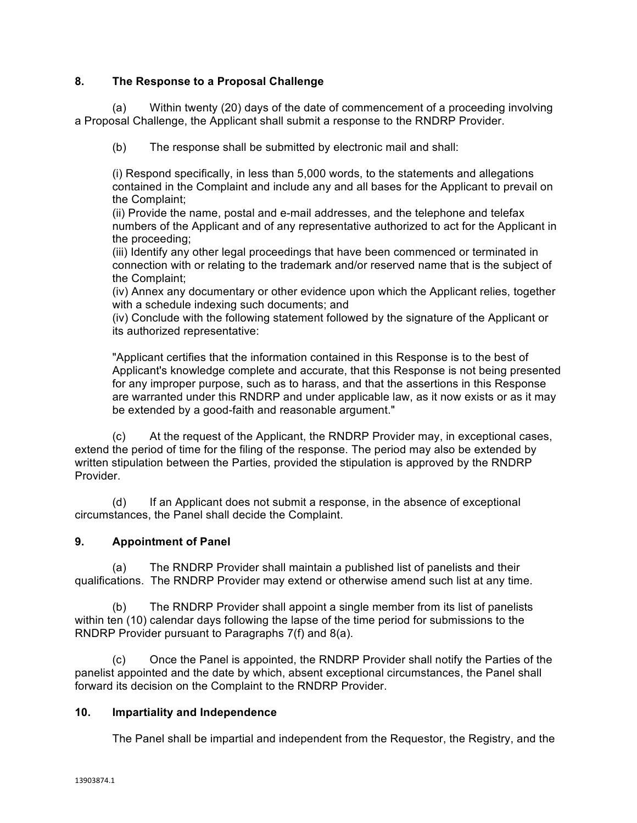### **8. The Response to a Proposal Challenge**

(a) Within twenty (20) days of the date of commencement of a proceeding involving a Proposal Challenge, the Applicant shall submit a response to the RNDRP Provider.

(b) The response shall be submitted by electronic mail and shall:

(i) Respond specifically, in less than 5,000 words, to the statements and allegations contained in the Complaint and include any and all bases for the Applicant to prevail on the Complaint;

(ii) Provide the name, postal and e-mail addresses, and the telephone and telefax numbers of the Applicant and of any representative authorized to act for the Applicant in the proceeding;

(iii) Identify any other legal proceedings that have been commenced or terminated in connection with or relating to the trademark and/or reserved name that is the subject of the Complaint;

(iv) Annex any documentary or other evidence upon which the Applicant relies, together with a schedule indexing such documents; and

(iv) Conclude with the following statement followed by the signature of the Applicant or its authorized representative:

"Applicant certifies that the information contained in this Response is to the best of Applicant's knowledge complete and accurate, that this Response is not being presented for any improper purpose, such as to harass, and that the assertions in this Response are warranted under this RNDRP and under applicable law, as it now exists or as it may be extended by a good-faith and reasonable argument."

(c) At the request of the Applicant, the RNDRP Provider may, in exceptional cases, extend the period of time for the filing of the response. The period may also be extended by written stipulation between the Parties, provided the stipulation is approved by the RNDRP **Provider** 

(d) If an Applicant does not submit a response, in the absence of exceptional circumstances, the Panel shall decide the Complaint.

### **9. Appointment of Panel**

(a) The RNDRP Provider shall maintain a published list of panelists and their qualifications. The RNDRP Provider may extend or otherwise amend such list at any time.

(b) The RNDRP Provider shall appoint a single member from its list of panelists within ten (10) calendar days following the lapse of the time period for submissions to the RNDRP Provider pursuant to Paragraphs 7(f) and 8(a).

(c) Once the Panel is appointed, the RNDRP Provider shall notify the Parties of the panelist appointed and the date by which, absent exceptional circumstances, the Panel shall forward its decision on the Complaint to the RNDRP Provider.

#### **10. Impartiality and Independence**

The Panel shall be impartial and independent from the Requestor, the Registry, and the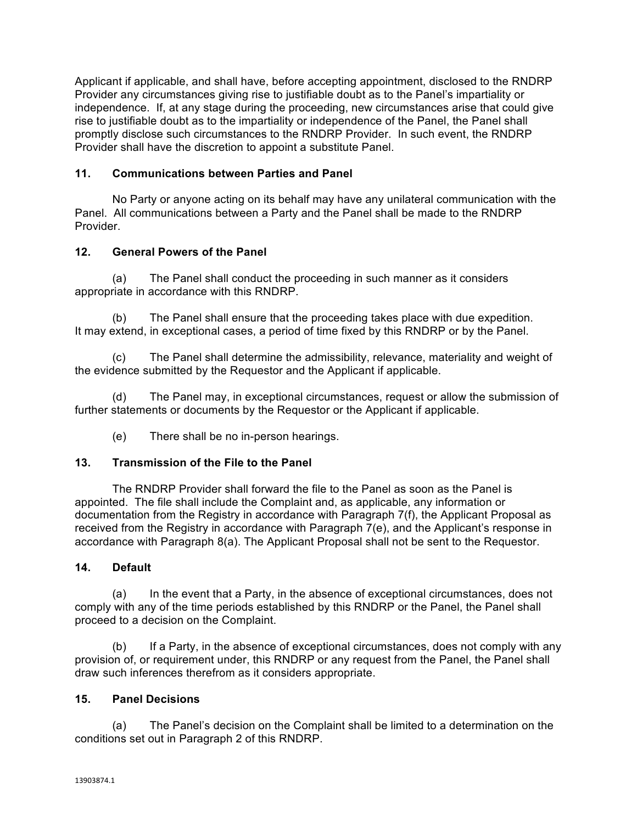Applicant if applicable, and shall have, before accepting appointment, disclosed to the RNDRP Provider any circumstances giving rise to justifiable doubt as to the Panel's impartiality or independence. If, at any stage during the proceeding, new circumstances arise that could give rise to justifiable doubt as to the impartiality or independence of the Panel, the Panel shall promptly disclose such circumstances to the RNDRP Provider. In such event, the RNDRP Provider shall have the discretion to appoint a substitute Panel.

### **11. Communications between Parties and Panel**

No Party or anyone acting on its behalf may have any unilateral communication with the Panel. All communications between a Party and the Panel shall be made to the RNDRP Provider.

### **12. General Powers of the Panel**

(a) The Panel shall conduct the proceeding in such manner as it considers appropriate in accordance with this RNDRP.

(b) The Panel shall ensure that the proceeding takes place with due expedition. It may extend, in exceptional cases, a period of time fixed by this RNDRP or by the Panel.

(c) The Panel shall determine the admissibility, relevance, materiality and weight of the evidence submitted by the Requestor and the Applicant if applicable.

(d) The Panel may, in exceptional circumstances, request or allow the submission of further statements or documents by the Requestor or the Applicant if applicable.

(e) There shall be no in-person hearings.

### **13. Transmission of the File to the Panel**

The RNDRP Provider shall forward the file to the Panel as soon as the Panel is appointed. The file shall include the Complaint and, as applicable, any information or documentation from the Registry in accordance with Paragraph 7(f), the Applicant Proposal as received from the Registry in accordance with Paragraph 7(e), and the Applicant's response in accordance with Paragraph 8(a). The Applicant Proposal shall not be sent to the Requestor.

### **14. Default**

(a) In the event that a Party, in the absence of exceptional circumstances, does not comply with any of the time periods established by this RNDRP or the Panel, the Panel shall proceed to a decision on the Complaint.

(b) If a Party, in the absence of exceptional circumstances, does not comply with any provision of, or requirement under, this RNDRP or any request from the Panel, the Panel shall draw such inferences therefrom as it considers appropriate.

### **15. Panel Decisions**

(a) The Panel's decision on the Complaint shall be limited to a determination on the conditions set out in Paragraph 2 of this RNDRP.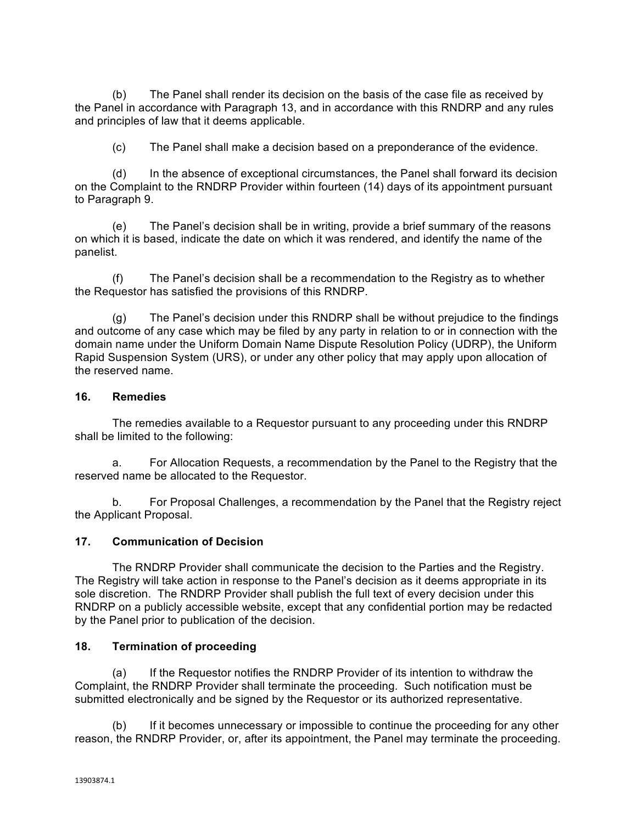(b) The Panel shall render its decision on the basis of the case file as received by the Panel in accordance with Paragraph 13, and in accordance with this RNDRP and any rules and principles of law that it deems applicable.

(c) The Panel shall make a decision based on a preponderance of the evidence.

(d) In the absence of exceptional circumstances, the Panel shall forward its decision on the Complaint to the RNDRP Provider within fourteen (14) days of its appointment pursuant to Paragraph 9.

(e) The Panel's decision shall be in writing, provide a brief summary of the reasons on which it is based, indicate the date on which it was rendered, and identify the name of the panelist.

(f) The Panel's decision shall be a recommendation to the Registry as to whether the Requestor has satisfied the provisions of this RNDRP.

(g) The Panel's decision under this RNDRP shall be without prejudice to the findings and outcome of any case which may be filed by any party in relation to or in connection with the domain name under the Uniform Domain Name Dispute Resolution Policy (UDRP), the Uniform Rapid Suspension System (URS), or under any other policy that may apply upon allocation of the reserved name.

#### **16. Remedies**

The remedies available to a Requestor pursuant to any proceeding under this RNDRP shall be limited to the following:

a. For Allocation Requests, a recommendation by the Panel to the Registry that the reserved name be allocated to the Requestor.

b. For Proposal Challenges, a recommendation by the Panel that the Registry reject the Applicant Proposal.

#### **17. Communication of Decision**

The RNDRP Provider shall communicate the decision to the Parties and the Registry. The Registry will take action in response to the Panel's decision as it deems appropriate in its sole discretion. The RNDRP Provider shall publish the full text of every decision under this RNDRP on a publicly accessible website, except that any confidential portion may be redacted by the Panel prior to publication of the decision.

#### **18. Termination of proceeding**

(a) If the Requestor notifies the RNDRP Provider of its intention to withdraw the Complaint, the RNDRP Provider shall terminate the proceeding. Such notification must be submitted electronically and be signed by the Requestor or its authorized representative.

(b) If it becomes unnecessary or impossible to continue the proceeding for any other reason, the RNDRP Provider, or, after its appointment, the Panel may terminate the proceeding.